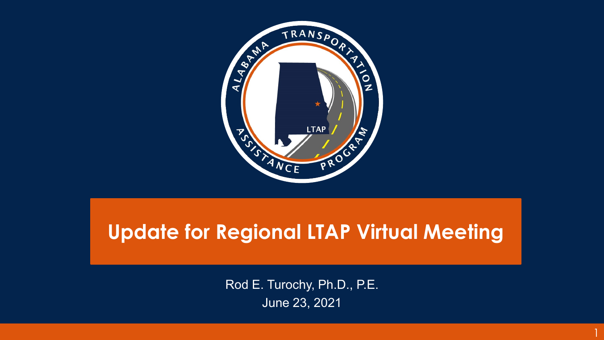

#### **Update for Regional LTAP Virtual Meeting**

Rod E. Turochy, Ph.D., P.E. June 23, 2021

1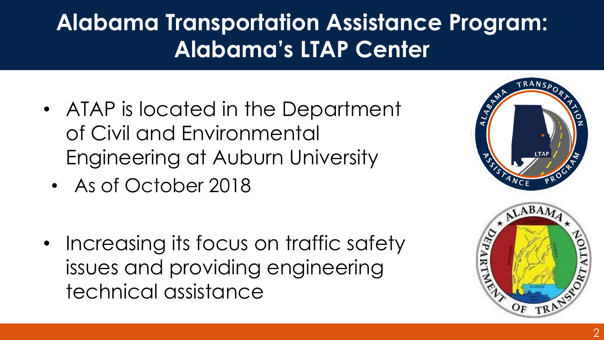## **Alabama Transportation Assistance Program: Alabama's LTAP Center**

- ATAP is located in the Department of Civil and Environmental Engineering at Auburn University
	- As of October 2018
- Increasing its focus on traffic safety issues and providing engineering technical assistance

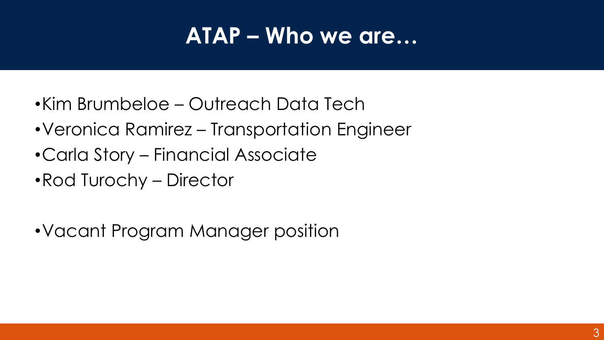### **ATAP – Who we are…**

- •Kim Brumbeloe Outreach Data Tech
- •Veronica Ramirez Transportation Engineer
- •Carla Story Financial Associate
- •Rod Turochy Director
- •Vacant Program Manager position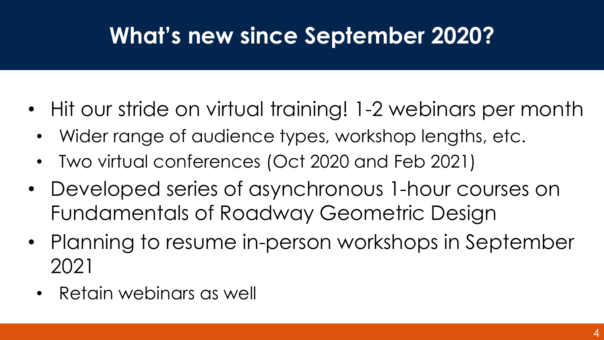### **What's new since September 2020?**

- Hit our stride on virtual training! 1-2 webinars per month
	- Wider range of audience types, workshop lengths, etc.
	- Two virtual conferences (Oct 2020 and Feb 2021)
- Developed series of asynchronous 1-hour courses on Fundamentals of Roadway Geometric Design
- Planning to resume in-person workshops in September 2021
	- Retain webinars as well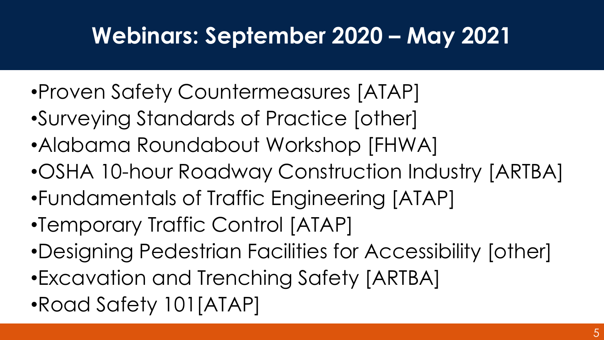### **Webinars: September 2020 – May 2021**

- •Proven Safety Countermeasures [ATAP]
- •Surveying Standards of Practice [other]
- •Alabama Roundabout Workshop [FHWA]
- •OSHA 10-hour Roadway Construction Industry [ARTBA]
- •Fundamentals of Traffic Engineering [ATAP]
- •Temporary Traffic Control [ATAP]
- •Designing Pedestrian Facilities for Accessibility [other]
- •Excavation and Trenching Safety [ARTBA]
- •Road Safety 101[ATAP]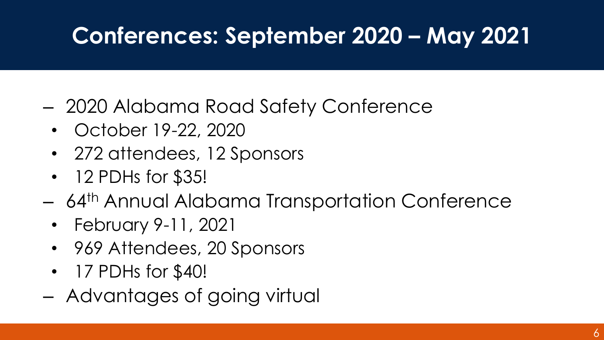## **Conferences: September 2020 – May 2021**

- 2020 Alabama Road Safety Conference
	- October 19-22, 2020
	- 272 attendees, 12 Sponsors
	- 12 PDHs for \$35!
- 64th Annual Alabama Transportation Conference
	- February 9-11, 2021
	- 969 Attendees, 20 Sponsors
	- 17 PDHs for \$40!
- Advantages of going virtual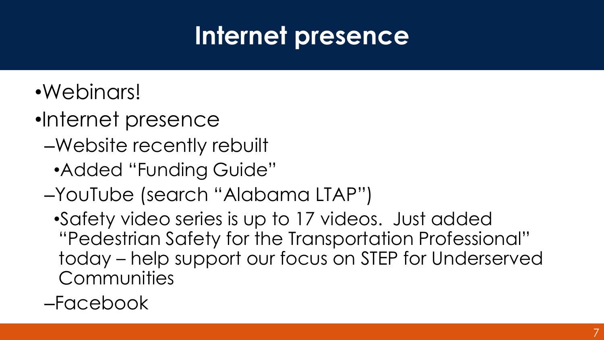# **Internet presence**

- •Webinars!
- •Internet presence
	- –Website recently rebuilt
		- •Added "Funding Guide"
	- –YouTube (search "Alabama LTAP")

•Safety video series is up to 17 videos. Just added "Pedestrian Safety for the Transportation Professional" today – help support our focus on STEP for Underserved **Communities** 

#### –Facebook